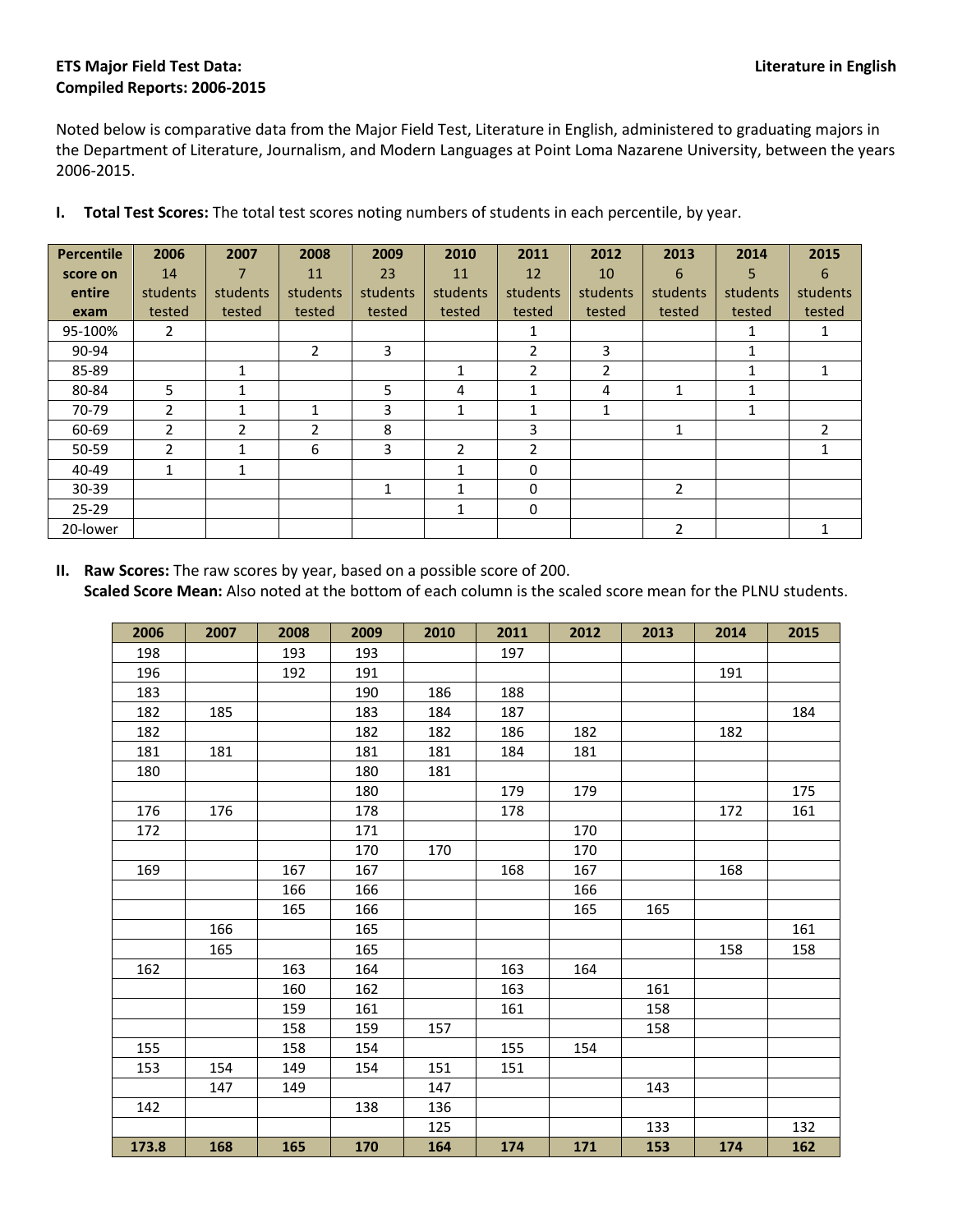## **ETS Major Field Test Data: Literature in English Compiled Reports: 2006-2015**

Noted below is comparative data from the Major Field Test, Literature in English, administered to graduating majors in the Department of Literature, Journalism, and Modern Languages at Point Loma Nazarene University, between the years 2006-2015.

| Percentile | 2006           | 2007           | 2008           | 2009     | 2010         | 2011           | 2012     | 2013           | 2014         | 2015     |
|------------|----------------|----------------|----------------|----------|--------------|----------------|----------|----------------|--------------|----------|
| score on   | 14             |                | 11             | 23       | 11           | 12             | 10       | 6              | 5            | 6        |
| entire     | students       | students       | students       | students | students     | students       | students | students       | students     | students |
| exam       | tested         | tested         | tested         | tested   | tested       | tested         | tested   | tested         | tested       | tested   |
| 95-100%    | $\overline{2}$ |                |                |          |              | 1              |          |                | 1            | 1        |
| 90-94      |                |                | $\overline{2}$ | 3        |              | $\overline{2}$ | 3        |                | $\mathbf{1}$ |          |
| 85-89      |                | 1              |                |          | 1            | $\mathfrak{p}$ | 2        |                | 1            | 1        |
| 80-84      | 5              | $\mathbf{1}$   |                | 5        | 4            | 1              | 4        | 1              | 1            |          |
| 70-79      | $\mathcal{P}$  |                | 1              | 3        | $\mathbf{1}$ | 1              |          |                | 1            |          |
| 60-69      | $\overline{2}$ | $\overline{2}$ | 2              | 8        |              | 3              |          | 1              |              | 2        |
| 50-59      | $\mathcal{P}$  | 1              | 6              | 3        | 2            | $\overline{2}$ |          |                |              |          |
| 40-49      |                | $\mathbf{1}$   |                |          | 1            | 0              |          |                |              |          |
| $30 - 39$  |                |                |                | 1        | 1            | 0              |          | $\overline{2}$ |              |          |
| $25 - 29$  |                |                |                |          | 1            | 0              |          |                |              |          |
| 20-lower   |                |                |                |          |              |                |          | 2              |              |          |

**I. Total Test Scores:** The total test scores noting numbers of students in each percentile, by year.

**II. Raw Scores:** The raw scores by year, based on a possible score of 200. **Scaled Score Mean:** Also noted at the bottom of each column is the scaled score mean for the PLNU students.

| 2006  | 2007 | 2008 | 2009 | 2010 | 2011 | 2012 | 2013 | 2014 | 2015 |
|-------|------|------|------|------|------|------|------|------|------|
| 198   |      | 193  | 193  |      | 197  |      |      |      |      |
| 196   |      | 192  | 191  |      |      |      |      | 191  |      |
| 183   |      |      | 190  | 186  | 188  |      |      |      |      |
| 182   | 185  |      | 183  | 184  | 187  |      |      |      | 184  |
| 182   |      |      | 182  | 182  | 186  | 182  |      | 182  |      |
| 181   | 181  |      | 181  | 181  | 184  | 181  |      |      |      |
| 180   |      |      | 180  | 181  |      |      |      |      |      |
|       |      |      | 180  |      | 179  | 179  |      |      | 175  |
| 176   | 176  |      | 178  |      | 178  |      |      | 172  | 161  |
| 172   |      |      | 171  |      |      | 170  |      |      |      |
|       |      |      | 170  | 170  |      | 170  |      |      |      |
| 169   |      | 167  | 167  |      | 168  | 167  |      | 168  |      |
|       |      | 166  | 166  |      |      | 166  |      |      |      |
|       |      | 165  | 166  |      |      | 165  | 165  |      |      |
|       | 166  |      | 165  |      |      |      |      |      | 161  |
|       | 165  |      | 165  |      |      |      |      | 158  | 158  |
| 162   |      | 163  | 164  |      | 163  | 164  |      |      |      |
|       |      | 160  | 162  |      | 163  |      | 161  |      |      |
|       |      | 159  | 161  |      | 161  |      | 158  |      |      |
|       |      | 158  | 159  | 157  |      |      | 158  |      |      |
| 155   |      | 158  | 154  |      | 155  | 154  |      |      |      |
| 153   | 154  | 149  | 154  | 151  | 151  |      |      |      |      |
|       | 147  | 149  |      | 147  |      |      | 143  |      |      |
| 142   |      |      | 138  | 136  |      |      |      |      |      |
|       |      |      |      | 125  |      |      | 133  |      | 132  |
| 173.8 | 168  | 165  | 170  | 164  | 174  | 171  | 153  | 174  | 162  |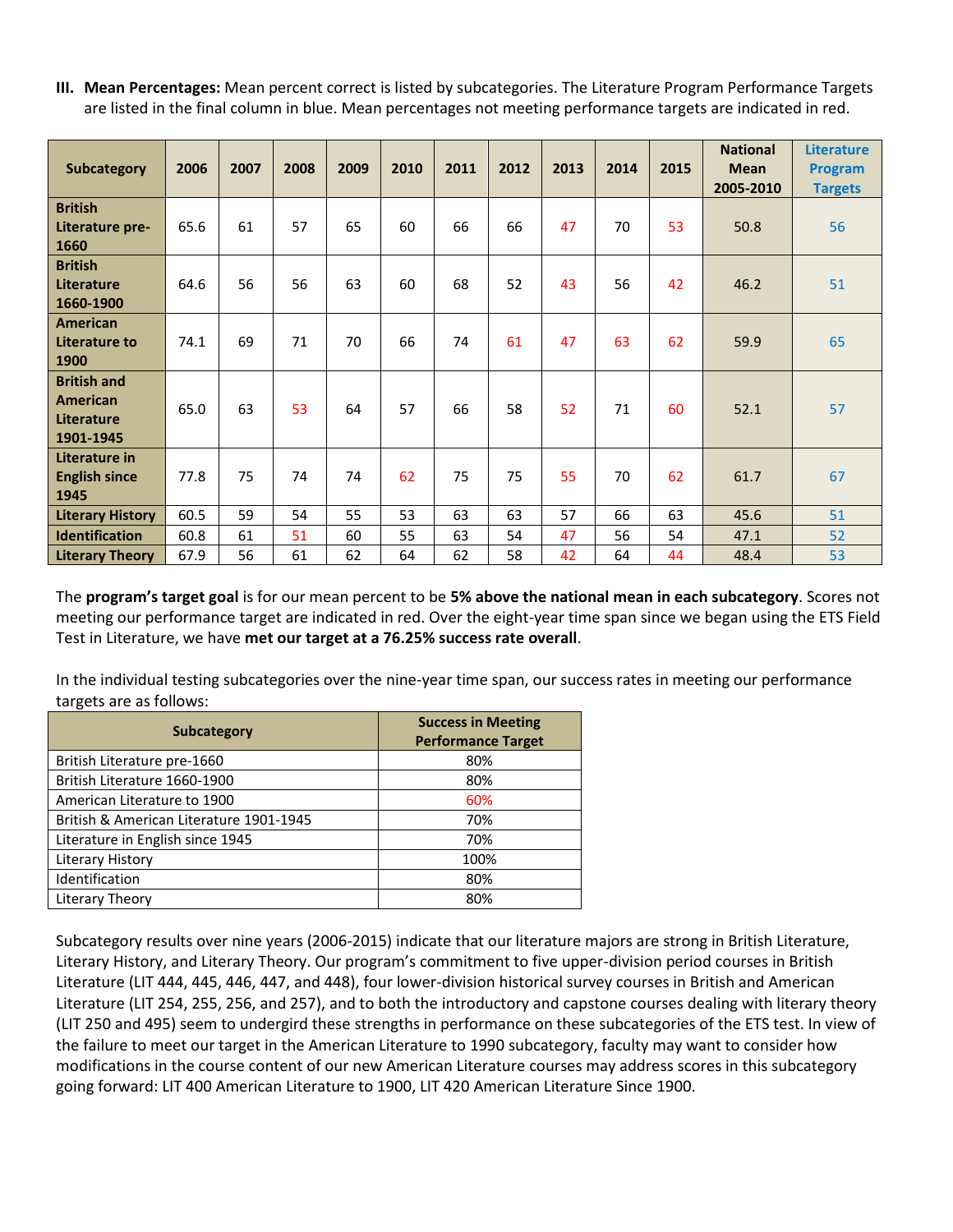**III. Mean Percentages:** Mean percent correct is listed by subcategories. The Literature Program Performance Targets are listed in the final column in blue. Mean percentages not meeting performance targets are indicated in red.

| Subcategory                                               | 2006 | 2007 | 2008 | 2009 | 2010 | 2011 | 2012 | 2013 | 2014 | 2015 | <b>National</b><br><b>Mean</b><br>2005-2010 | <b>Literature</b><br><b>Program</b><br><b>Targets</b> |
|-----------------------------------------------------------|------|------|------|------|------|------|------|------|------|------|---------------------------------------------|-------------------------------------------------------|
| <b>British</b><br>Literature pre-<br>1660                 | 65.6 | 61   | 57   | 65   | 60   | 66   | 66   | 47   | 70   | 53   | 50.8                                        | 56                                                    |
| <b>British</b><br>Literature<br>1660-1900                 | 64.6 | 56   | 56   | 63   | 60   | 68   | 52   | 43   | 56   | 42   | 46.2                                        | 51                                                    |
| <b>American</b><br>Literature to<br>1900                  | 74.1 | 69   | 71   | 70   | 66   | 74   | 61   | 47   | 63   | 62   | 59.9                                        | 65                                                    |
| <b>British and</b><br>American<br>Literature<br>1901-1945 | 65.0 | 63   | 53   | 64   | 57   | 66   | 58   | 52   | 71   | 60   | 52.1                                        | 57                                                    |
| Literature in<br><b>English since</b><br>1945             | 77.8 | 75   | 74   | 74   | 62   | 75   | 75   | 55   | 70   | 62   | 61.7                                        | 67                                                    |
| <b>Literary History</b>                                   | 60.5 | 59   | 54   | 55   | 53   | 63   | 63   | 57   | 66   | 63   | 45.6                                        | 51                                                    |
| <b>Identification</b>                                     | 60.8 | 61   | 51   | 60   | 55   | 63   | 54   | 47   | 56   | 54   | 47.1                                        | 52                                                    |
| <b>Literary Theory</b>                                    | 67.9 | 56   | 61   | 62   | 64   | 62   | 58   | 42   | 64   | 44   | 48.4                                        | 53                                                    |

The **program's target goal** is for our mean percent to be **5% above the national mean in each subcategory**. Scores not meeting our performance target are indicated in red. Over the eight-year time span since we began using the ETS Field Test in Literature, we have **met our target at a 76.25% success rate overall**.

In the individual testing subcategories over the nine-year time span, our success rates in meeting our performance targets are as follows:

| <b>Subcategory</b>                      | <b>Success in Meeting</b><br><b>Performance Target</b> |
|-----------------------------------------|--------------------------------------------------------|
| British Literature pre-1660             | 80%                                                    |
| British Literature 1660-1900            | 80%                                                    |
| American Literature to 1900             | 60%                                                    |
| British & American Literature 1901-1945 | 70%                                                    |
| Literature in English since 1945        | 70%                                                    |
| Literary History                        | 100%                                                   |
| Identification                          | 80%                                                    |
| Literary Theory                         | 80%                                                    |

Subcategory results over nine years (2006-2015) indicate that our literature majors are strong in British Literature, Literary History, and Literary Theory. Our program's commitment to five upper-division period courses in British Literature (LIT 444, 445, 446, 447, and 448), four lower-division historical survey courses in British and American Literature (LIT 254, 255, 256, and 257), and to both the introductory and capstone courses dealing with literary theory (LIT 250 and 495) seem to undergird these strengths in performance on these subcategories of the ETS test. In view of the failure to meet our target in the American Literature to 1990 subcategory, faculty may want to consider how modifications in the course content of our new American Literature courses may address scores in this subcategory going forward: LIT 400 American Literature to 1900, LIT 420 American Literature Since 1900.